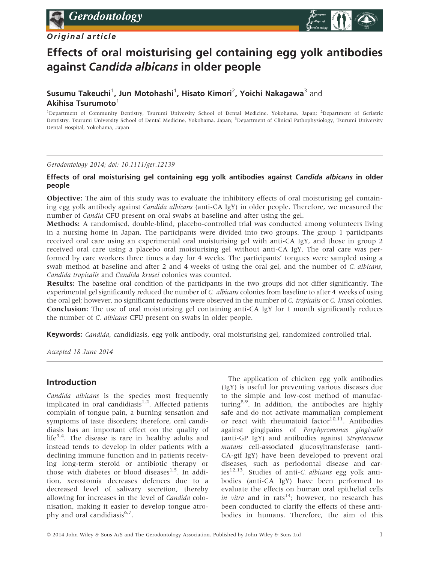## Original article



# Effects of oral moisturising gel containing egg yolk antibodies against Candida albicans in older people

# Susumu Takeuchi<sup>1</sup>, Jun Motohashi<sup>1</sup>, Hisato Kimori<sup>2</sup>, Yoichi Nakagawa<sup>3</sup> and Akihisa Tsurumoto $1$

<sup>1</sup>Department of Community Dentistry, Tsurumi University School of Dental Medicine, Yokohama, Japan; <sup>2</sup>Department of Geriatric Dentistry, Tsurumi University School of Dental Medicine, Yokohama, Japan; <sup>3</sup>Department of Clinical Pathophysiology, Tsurumi University Dental Hospital, Yokohama, Japan

#### Gerodontology 2014; doi: 10.1111/ger.12139

#### Effects of oral moisturising gel containing egg yolk antibodies against Candida albicans in older people

**Objective:** The aim of this study was to evaluate the inhibitory effects of oral moisturising gel containing egg yolk antibody against Candida albicans (anti-CA IgY) in older people. Therefore, we measured the number of Candia CFU present on oral swabs at baseline and after using the gel.

Methods: A randomised, double-blind, placebo-controlled trial was conducted among volunteers living in a nursing home in Japan. The participants were divided into two groups. The group 1 participants received oral care using an experimental oral moisturising gel with anti-CA IgY, and those in group 2 received oral care using a placebo oral moisturising gel without anti-CA IgY. The oral care was performed by care workers three times a day for 4 weeks. The participants' tongues were sampled using a swab method at baseline and after 2 and 4 weeks of using the oral gel, and the number of C. albicans, Candida tropicalis and Candida krusei colonies was counted.

Results: The baseline oral condition of the participants in the two groups did not differ significantly. The experimental gel significantly reduced the number of C. albicans colonies from baseline to after 4 weeks of using the oral gel; however, no significant reductions were observed in the number of C. tropicalis or C. krusei colonies. Conclusion: The use of oral moisturising gel containing anti-CA IgY for 1 month significantly reduces the number of C. albicans CFU present on swabs in older people.

Keywords: *Candida*, candidiasis, egg yolk antibody, oral moisturising gel, randomized controlled trial.

Accepted 18 June 2014

## Introduction

Candida albicans is the species most frequently implicated in oral candidiasis $1,2$ . Affected patients complain of tongue pain, a burning sensation and symptoms of taste disorders; therefore, oral candidiasis has an important effect on the quality of life<sup>3,4</sup>. The disease is rare in healthy adults and instead tends to develop in older patients with a declining immune function and in patients receiving long-term steroid or antibiotic therapy or those with diabetes or blood diseases<sup>1,5</sup>. In addition, xerostomia decreases defences due to a decreased level of salivary secretion, thereby allowing for increases in the level of Candida colonisation, making it easier to develop tongue atrophy and oral candidiasis $6.7$ .

The application of chicken egg yolk antibodies (IgY) is useful for preventing various diseases due to the simple and low-cost method of manufacturing $8.9$ . In addition, the antibodies are highly safe and do not activate mammalian complement or react with rheumatoid factor $10,11$ . Antibodies against gingipains of Porphyromonas gingivalis (anti-GP IgY) and antibodies against Streptococcus mutans cell-associated glucosyltransferase (anti-CA-gtf IgY) have been developed to prevent oral diseases, such as periodontal disease and caries<sup>12,13</sup>. Studies of anti-*C. albicans* egg yolk antibodies (anti-CA IgY) have been performed to evaluate the effects on human oral epithelial cells *in vitro* and in rats<sup>14</sup>; however, no research has been conducted to clarify the effects of these antibodies in humans. Therefore, the aim of this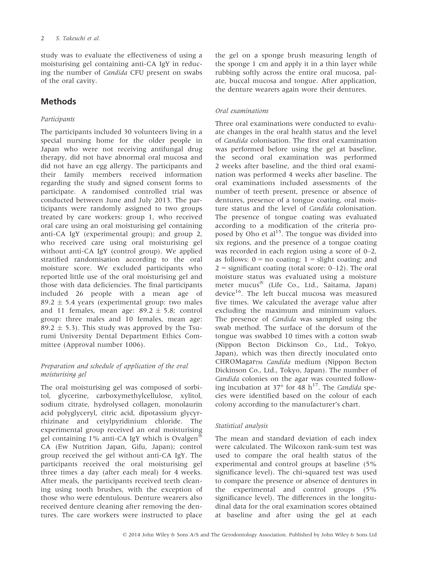study was to evaluate the effectiveness of using a moisturising gel containing anti-CA IgY in reducing the number of Candida CFU present on swabs of the oral cavity.

# Methods

## Participants

The participants included 30 volunteers living in a special nursing home for the older people in Japan who were not receiving antifungal drug therapy, did not have abnormal oral mucosa and did not have an egg allergy. The participants and their family members received information regarding the study and signed consent forms to participate. A randomised controlled trial was conducted between June and July 2013. The participants were randomly assigned to two groups treated by care workers: group 1, who received oral care using an oral moisturising gel containing anti-CA IgY (experimental group); and group 2, who received care using oral moisturising gel without anti-CA IgY (control group). We applied stratified randomisation according to the oral moisture score. We excluded participants who reported little use of the oral moisturising gel and those with data deficiencies. The final participants included 26 people with a mean age of  $89.2 \pm 5.4$  years (experimental group: two males and 11 females, mean age:  $89.2 \pm 5.8$ ; control group: three males and 10 females, mean age: 89.2  $\pm$  5.3). This study was approved by the Tsurumi University Dental Department Ethics Committee (Approval number 1006).

## Preparation and schedule of application of the oral moisturising gel

The oral moisturising gel was composed of sorbitol, glycerine, carboxymethylcellulose, xylitol, sodium citrate, hydrolysed collagen, monolaurin acid polyglyceryl, citric acid, dipotassium glycyrrhizinate and cetylpyridinium chloride. The experimental group received an oral moisturising gel containing 1% anti-CA IgY which is Ovalgen<sup>®</sup> CA (Ew Nutrition Japan, Gifu, Japan); control group received the gel without anti-CA IgY. The participants received the oral moisturising gel three times a day (after each meal) for 4 weeks. After meals, the participants received teeth cleaning using tooth brushes, with the exception of those who were edentulous. Denture wearers also received denture cleaning after removing the dentures. The care workers were instructed to place the gel on a sponge brush measuring length of the sponge 1 cm and apply it in a thin layer while rubbing softly across the entire oral mucosa, palate, buccal mucosa and tongue. After application, the denture wearers again wore their dentures.

## Oral examinations

Three oral examinations were conducted to evaluate changes in the oral health status and the level of Candida colonisation. The first oral examination was performed before using the gel at baseline, the second oral examination was performed 2 weeks after baseline, and the third oral examination was performed 4 weeks after baseline. The oral examinations included assessments of the number of teeth present, presence or absence of dentures, presence of a tongue coating, oral moisture status and the level of Candida colonisation. The presence of tongue coating was evaluated according to a modification of the criteria proposed by Oho et al<sup>15</sup>. The tongue was divided into six regions, and the presence of a tongue coating was recorded in each region using a score of 0–2, as follows:  $0 = no$  coating;  $1 =$  slight coating; and  $2 =$  significant coating (total score: 0–12). The oral moisture status was evaluated using a moisture meter mucus<sup>®</sup> (Life Co., Ltd., Saitama, Japan) device<sup>16</sup>. The left buccal mucosa was measured five times. We calculated the average value after excluding the maximum and minimum values. The presence of Candida was sampled using the swab method. The surface of the dorsum of the tongue was swabbed 10 times with a cotton swab (Nippon Becton Dickinson Co., Ltd., Tokyo, Japan), which was then directly inoculated onto CHROMagarTM Candida medium (Nippon Becton Dickinson Co., Ltd., Tokyo, Japan). The number of Candida colonies on the agar was counted following incubation at 37 $^{\circ}$  for 48 h<sup>17</sup>. The Candida species were identified based on the colour of each colony according to the manufacturer's chart.

## Statistical analysis

The mean and standard deviation of each index were calculated. The Wilcoxon rank-sum test was used to compare the oral health status of the experimental and control groups at baseline (5% significance level). The chi-squared test was used to compare the presence or absence of dentures in the experimental and control groups (5% significance level). The differences in the longitudinal data for the oral examination scores obtained at baseline and after using the gel at each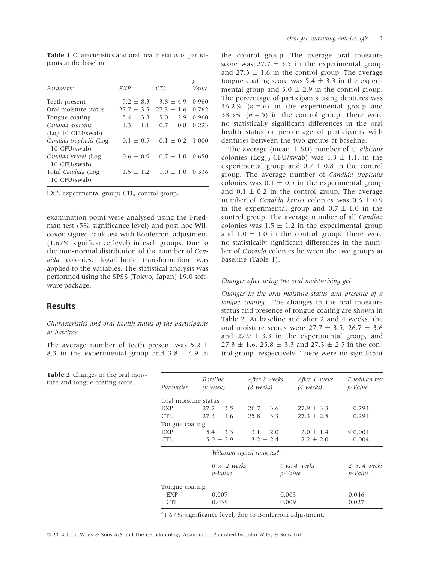| Parameter                               | EXP          | CTL          | р-<br>Value |
|-----------------------------------------|--------------|--------------|-------------|
| Teeth present                           | $5.2 + 8.3$  | $3.8 + 4.9$  | 0.960       |
| Oral moisture status                    | $27.7 + 3.5$ | $27.3 + 1.6$ | 0.762       |
| Tongue coating                          | $5.4 + 3.3$  | $5.0 + 2.9$  | 0.960       |
| Candida albicans                        | $1.3 + 1.1$  | $0.7 + 0.8$  | 0.223       |
| (Log 10 CFU/swab)                       |              |              |             |
| Candida tropicalis (Log<br>10 CFU/swab) | $0.1 + 0.5$  | $0.1 + 0.2$  | 1.000       |
| Candida krusei (Log<br>10 CFU/swab)     | $0.6 + 0.9$  | $0.7 + 1.0$  | 0.650       |
| Total Candida (Log<br>10 CFU/swab)      | $1.5 + 1.2$  | $1.0 + 1.0$  | 0.336       |

Table 1 Characteristics and oral health status of participants at the baseline.

EXP, experimental group; CTL, control group.

examination point were analysed using the Friedman test (5% significance level) and post hoc Wilcoxon signed-rank test with Bonferroni adjustment (1.67% significance level) in each groups. Due to the non-normal distribution of the number of Candida colonies, logarithmic transformation was applied to the variables. The statistical analysis was performed using the SPSS (Tokyo, Japan) 19.0 software package.

#### Results

#### Characteristics and oral health status of the participants at baseline

The average number of teeth present was  $5.2 \pm$ 8.3 in the experimental group and  $3.8 \pm 4.9$  in

the control group. The average oral moisture score was  $27.7 \pm 3.5$  in the experimental group and  $27.3 \pm 1.6$  in the control group. The average tongue coating score was  $5.4 \pm 3.3$  in the experimental group and  $5.0 \pm 2.9$  in the control group. The percentage of participants using dentures was 46.2% ( $n = 6$ ) in the experimental group and 38.5% ( $n = 5$ ) in the control group. There were no statistically significant differences in the oral health status or percentage of participants with dentures between the two groups at baseline.

The average (mean  $\pm$  SD) number of *C. albicans* colonies (Log<sub>10</sub> CFU/swab) was  $1.3 \pm 1.1$ . in the experimental group and  $0.7 \pm 0.8$  in the control group. The average number of Candida tropicalis colonies was  $0.1 \pm 0.5$  in the experimental group and  $0.1 \pm 0.2$  in the control group. The average number of *Candida krusei* colonies was  $0.6 \pm 0.9$ in the experimental group and  $0.7 \pm 1.0$  in the control group. The average number of all Candida colonies was  $1.5 \pm 1.2$  in the experimental group and  $1.0 \pm 1.0$  in the control group. There were no statistically significant differences in the number of Candida colonies between the two groups at baseline (Table 1).

#### Changes after using the oral moisturising gel

Changes in the oral moisture status and presence of a tongue coating. The changes in the oral moisture status and presence of tongue coating are shown in Table 2. At baseline and after 2 and 4 weeks, the oral moisture scores were  $27.7 \pm 3.5$ ,  $26.7 \pm 3.6$ and  $27.9 \pm 3.3$  in the experimental group, and  $27.3 \pm 1.6$ ,  $25.8 \pm 3.3$  and  $27.3 \pm 2.5$  in the control group, respectively. There were no significant

| Parameter            | <i>Baseline</i><br>$(0 \text{ week})$       | After 2 weeks<br>(2 weeks) | After 4 weeks<br>(4 weeks)                  | Friedman test<br>p-Value     |  |  |
|----------------------|---------------------------------------------|----------------------------|---------------------------------------------|------------------------------|--|--|
| Oral moisture status |                                             |                            |                                             |                              |  |  |
| EXP                  | $27.7 + 3.5$                                | $26.7 + 3.6$               | $27.9 + 3.3$                                | 0.794                        |  |  |
| CTL                  | $27.3 + 1.6$                                | $25.8 + 3.3$               | $27.3 + 2.5$                                | 0.291                        |  |  |
| Tongue coating       |                                             |                            |                                             |                              |  |  |
| EXP                  | $5.4 \pm 3.3$                               | 3.1 $\pm$ 2.0              | $2.0 \pm 1.4$                               | ${}_{0.001}$                 |  |  |
| CTL                  | $5.0 + 2.9$                                 | $3.2 + 2.4$                | $2.2 + 2.0$                                 | 0.004                        |  |  |
|                      | Wilcoxon signed-rank test <sup>a</sup>      |                            |                                             |                              |  |  |
|                      | $0 \text{ vs. } 2 \text{ weeks}$<br>p-Value |                            | $0 \text{ vs. } 4 \text{ weeks}$<br>p-Value | $2$ vs. $4$ weeks<br>p-Value |  |  |
| Tongue coating       |                                             |                            |                                             |                              |  |  |
| EXP                  | 0.007                                       | 0.003                      |                                             | 0.046                        |  |  |
| <b>CTL</b>           | 0.039                                       | 0.009                      |                                             | 0.027                        |  |  |

<sup>a</sup>1.67% significance level, due to Bonferroni adjustment.

Table 2 Changes in the oral moisture and tongue coating score.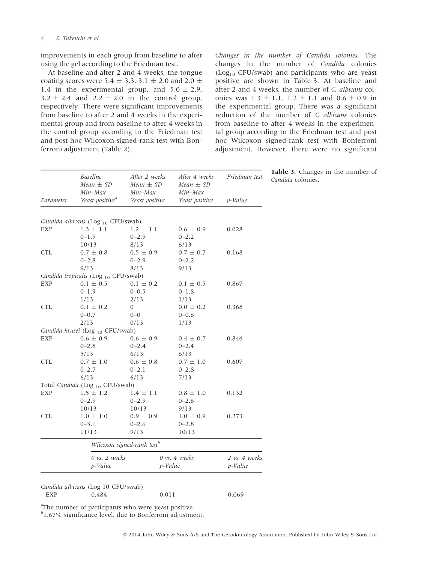#### 4 S. Takeuchi et al.

improvements in each group from baseline to after using the gel according to the Friedman test.

At baseline and after 2 and 4 weeks, the tongue coating scores were 5.4  $\pm$  3.3, 3.1  $\pm$  2.0 and 2.0  $\pm$ 1.4 in the experimental group, and  $5.0 \pm 2.9$ ,  $3.2 \pm 2.4$  and  $2.2 \pm 2.0$  in the control group, respectively. There were significant improvements from baseline to after 2 and 4 weeks in the experimental group and from baseline to after 4 weeks in the control group according to the Friedman test and post hoc Wilcoxon signed-rank test with Bonferroni adjustment (Table 2).

Changes in the number of Candida colonies. The changes in the number of Candida colonies  $(Log<sub>10</sub> CFU/swab)$  and participants who are yeast positive are shown in Table 3. At baseline and after 2 and 4 weeks, the number of C. albicans colonies was  $1.3 \pm 1.1$ ,  $1.2 \pm 1.1$  and  $0.6 \pm 0.9$  in the experimental group. There was a significant reduction of the number of C. albicans colonies from baseline to after 4 weeks in the experimental group according to the Friedman test and post hoc Wilcoxon signed-rank test with Bonferroni adjustment. However, there were no significant

| <b>Baseline</b><br>$Mean \pm SD$<br>Min–Max | After 2 weeks<br>$Mean \pm SD$<br>Min-Max           | After 4 weeks<br>$Mean \pm SD$<br>Min-Max | Friedman test     | <b>Table 3.</b> Changes in<br>Candida colonies. |  |
|---------------------------------------------|-----------------------------------------------------|-------------------------------------------|-------------------|-------------------------------------------------|--|
| Parameter                                   | Yeast positive <sup>a</sup>                         | Yeast positive                            | Yeast positive    | p-Value                                         |  |
|                                             |                                                     |                                           |                   |                                                 |  |
| EXP                                         | Candida albicans (Log 10 CFU/swab)<br>$1.3 \pm 1.1$ | $1.2 \pm 1.1$                             | $0.6 \pm 0.9$     | 0.028                                           |  |
|                                             | $0 - 1.9$                                           | $0 - 2.9$                                 | $0 - 2.2$         |                                                 |  |
|                                             | 10/13                                               | 8/13                                      | 6/13              |                                                 |  |
| CTL                                         | $0.7 \pm 0.8$                                       | $0.5 \pm 0.9$                             | $0.7 \pm 0.7$     | 0.168                                           |  |
|                                             | $0 - 2.8$                                           | $0 - 2.9$                                 | $0 - 2.2$         |                                                 |  |
|                                             | 9/13                                                | 8/13                                      | 9/13              |                                                 |  |
|                                             | Candida tropicalis (Log 10 CFU/swab)                |                                           |                   |                                                 |  |
| EXP                                         | $0.1 \pm 0.5$                                       | $0.1 \pm 0.2$                             | $0.1 \pm 0.5$     | 0.867                                           |  |
|                                             | $0 - 1.9$                                           | $0 - 0.5$                                 | $0 - 1.8$         |                                                 |  |
|                                             | 1/13                                                | 2/13                                      | 1/13              |                                                 |  |
| <b>CTL</b>                                  | $0.1 \pm 0.2$                                       | 0                                         | $0.0 \pm 0.2$     | 0.368                                           |  |
|                                             | $0 - 0.7$                                           | $0 - 0$                                   | $0 - 0.6$         |                                                 |  |
|                                             | 2/13                                                | 0/13                                      | 1/13              |                                                 |  |
|                                             | Candida krusei (Log 10 CFU/swab)                    |                                           |                   |                                                 |  |
| EXP                                         | $0.6 \pm 0.9$                                       | $0.6 \pm 0.9$                             | $0.4 \pm 0.7$     | 0.846                                           |  |
|                                             | $0 - 2.8$                                           | $0 - 2.4$                                 | $0 - 2.4$         |                                                 |  |
|                                             | 5/13                                                | 6/13                                      | 6/13              |                                                 |  |
| <b>CTL</b>                                  | $0.7 \pm 1.0$                                       | $0.6 \pm 0.8$                             | $0.7 \pm 1.0$     | 0.607                                           |  |
|                                             | $0 - 2.7$                                           | $0 - 2.1$                                 | $0 - 2.8$         |                                                 |  |
|                                             | 6/13                                                | 6/13                                      | 7/13              |                                                 |  |
|                                             | Total Candida (Log 10 CFU/swab)                     |                                           |                   |                                                 |  |
| EXP                                         | $1.5 \pm 1.2$                                       | $1.4\,\pm\,1.1$                           | $0.8 \pm 1.0$     | 0.132                                           |  |
|                                             | $0 - 2.9$                                           | $0 - 2.9$                                 | $0 - 2.6$         |                                                 |  |
|                                             | 10/13                                               | 10/13                                     | 9/13              |                                                 |  |
| CTL                                         | $1.0 \pm 1.0$                                       | $0.9 \pm 0.9$                             | $1.0 \pm 0.9$     | 0.273                                           |  |
|                                             | $0 - 3.1$                                           | $0 - 2.6$                                 | $0 - 2.8$         |                                                 |  |
|                                             | 11/13                                               | 9/13                                      | 10/13             |                                                 |  |
|                                             |                                                     | Wilcoxon signed-rank test <sup>b</sup>    |                   |                                                 |  |
|                                             |                                                     |                                           |                   |                                                 |  |
|                                             | $0$ vs. $2$ weeks                                   |                                           | $0$ vs. $4$ weeks | 2 vs. 4 weeks                                   |  |
|                                             | p-Value                                             | p-Value                                   |                   | p-Value                                         |  |
|                                             |                                                     |                                           |                   |                                                 |  |
|                                             | Candida albicans (Log 10 CFU/swab)                  |                                           |                   |                                                 |  |
| EXP                                         | 0.484                                               | 0.011                                     |                   | 0.069                                           |  |

the number of

<sup>a</sup>The number of participants who were yeast positive.

<sup>b</sup>1.67% significance level, due to Bonferroni adjustment.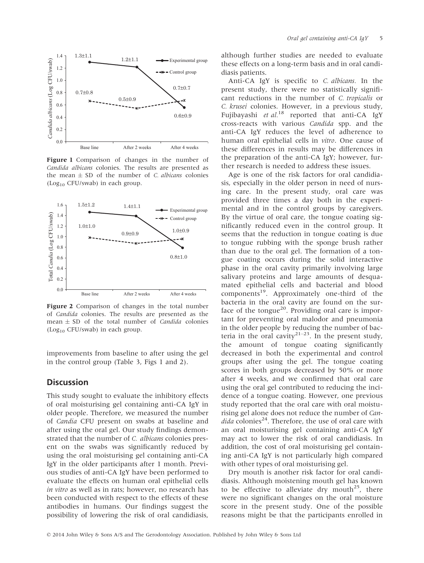

Figure 1 Comparison of changes in the number of Candida albicans colonies. The results are presented as the mean  $\pm$  SD of the number of *C. albicans* colonies  $(Log<sub>10</sub> CFU/swab)$  in each group.



Figure 2 Comparison of changes in the total number of Candida colonies. The results are presented as the mean  $\pm$  SD of the total number of *Candida* colonies  $(Log<sub>10</sub> CFU/swab)$  in each group.

improvements from baseline to after using the gel in the control group (Table 3, Figs 1 and 2).

#### **Discussion**

This study sought to evaluate the inhibitory effects of oral moisturising gel containing anti-CA IgY in older people. Therefore, we measured the number of Candia CFU present on swabs at baseline and after using the oral gel. Our study findings demonstrated that the number of C. albicans colonies present on the swabs was significantly reduced by using the oral moisturising gel containing anti-CA IgY in the older participants after 1 month. Previous studies of anti-CA IgY have been performed to evaluate the effects on human oral epithelial cells in vitro as well as in rats; however, no research has been conducted with respect to the effects of these antibodies in humans. Our findings suggest the possibility of lowering the risk of oral candidiasis,

although further studies are needed to evaluate these effects on a long-term basis and in oral candidiasis patients.

Anti-CA IgY is specific to C. albicans. In the present study, there were no statistically significant reductions in the number of C. tropicalis or C. krusei colonies. However, in a previous study, Fujibayashi et al.<sup>18</sup> reported that anti-CA IgY cross-reacts with various Candida spp. and the anti-CA IgY reduces the level of adherence to human oral epithelial cells in vitro. One cause of these differences in results may be differences in the preparation of the anti-CA IgY; however, further research is needed to address these issues.

Age is one of the risk factors for oral candidiasis, especially in the older person in need of nursing care. In the present study, oral care was provided three times a day both in the experimental and in the control groups by caregivers. By the virtue of oral care, the tongue coating significantly reduced even in the control group. It seems that the reduction in tongue coating is due to tongue rubbing with the sponge brush rather than due to the oral gel. The formation of a tongue coating occurs during the solid interactive phase in the oral cavity primarily involving large salivary proteins and large amounts of desquamated epithelial cells and bacterial and blood components<sup>19</sup>. Approximately one-third of the bacteria in the oral cavity are found on the surface of the tongue<sup>20</sup>. Providing oral care is important for preventing oral malodor and pneumonia in the older people by reducing the number of bacteria in the oral cavity<sup>21–23</sup>. In the present study, the amount of tongue coating significantly decreased in both the experimental and control groups after using the gel. The tongue coating scores in both groups decreased by 50% or more after 4 weeks, and we confirmed that oral care using the oral gel contributed to reducing the incidence of a tongue coating. However, one previous study reported that the oral care with oral moisturising gel alone does not reduce the number of Can*dida* colonies<sup>24</sup>. Therefore, the use of oral care with an oral moisturising gel containing anti-CA IgY may act to lower the risk of oral candidiasis. In addition, the cost of oral moisturising gel containing anti-CA IgY is not particularly high compared with other types of oral moisturising gel.

Dry mouth is another risk factor for oral candidiasis. Although moistening mouth gel has known to be effective to alleviate dry mouth<sup>25</sup>, there were no significant changes on the oral moisture score in the present study. One of the possible reasons might be that the participants enrolled in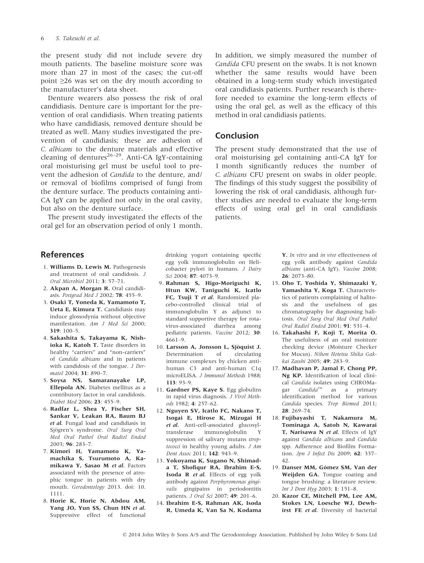#### 6 S. Takeuchi et al.

the present study did not include severe dry mouth patients. The baseline moisture score was more than 27 in most of the cases; the cut-off point ≥26 was set on the dry mouth according to the manufacturer's data sheet.

Denture wearers also possess the risk of oral candidiasis. Denture care is important for the prevention of oral candidiasis. When treating patients who have candidiasis, removed denture should be treated as well. Many studies investigated the prevention of candidiasis; these are adhesion of C. albicans to the denture materials and effective cleaning of dentures<sup>26-29</sup>. Anti-CA IgY-containing oral moisturising gel must be useful tool to prevent the adhesion of Candida to the denture, and/ or removal of biofilms comprised of fungi from the denture surface. The products containing anti-CA IgY can be applied not only in the oral cavity, but also on the denture surface.

The present study investigated the effects of the oral gel for an observation period of only 1 month. In addition, we simply measured the number of Candida CFU present on the swabs. It is not known whether the same results would have been obtained in a long-term study which investigated oral candidiasis patients. Further research is therefore needed to examine the long-term effects of using the oral gel, as well as the efficacy of this method in oral candidiasis patients.

#### Conclusion

The present study demonstrated that the use of oral moisturising gel containing anti-CA IgY for 1 month significantly reduces the number of C. albicans CFU present on swabs in older people. The findings of this study suggest the possibility of lowering the risk of oral candidiasis, although further studies are needed to evaluate the long-term effects of using oral gel in oral candidiasis patients.

## References

- 1. Williams D, Lewis M. Pathogenesis and treatment of oral candidosis. J Oral Microbiol 2011; 3: 57–71.
- 2. Akpan A, Morgan R. Oral candidiasis. Postgrad Med J 2002; 78: 455–9.
- 3. Osaki T, Yoneda K, Yamamoto T, Ueta E, Kimura T. Candidiasis may induce glossodynia without objective manifestation. Am J Med Sci 2000; 319: 100–5.
- 4. Sakashita S, Takayama K, Nishioka K, Katoh T. Taste disorders in healthy "carriers" and "non-carriers" of Candida albicans and in patients with candidosis of the tongue. J Dermatol 2004; 31: 890–7.
- 5. Soysa NS, Samaranayake LP, Ellepola AN. Diabetes mellitus as a contributory factor in oral candidosis. Diabet Med 2006; 23: 455–9.
- 6. Radfar L, Shea Y, Fischer SH, Sankar V, Leakan RA, Baum BJ et al. Fungal load and candidiasis in Sjögren's syndrome. Oral Surg Oral Med Oral Pathol Oral Radiol Endod 2003; 96: 283–7.
- 7. Kimori H, Yamamoto K, Yamachika S, Tsurumoto A, Kamikawa Y, Sasao M et al. Factors associated with the presence of atrophic tongue in patients with dry mouth. Gerodontology 2013. doi: 10. 1111.
- 8. Horie K, Horie N, Abdou AM, Yang JO, Yun SS, Chun HN et al. Suppressive effect of functional

drinking yogurt containing specific egg yolk immunoglobulin on Helicobacter pylori in humans. J Dairy Sci 2004; 87: 4073–9.

- 9. Rahman S, Higo-Moriguchi K, Htun KW, Taniguchi K, Icatlo FC, Tsuji T et al. Randomized placebo-controlled clinical trial of immunoglobulin Y as adjunct to standard supportive therapy for rotavirus-associated diarrhea among pediatric patients. Vaccine 2012; 30: 4661–9.
- 10. Larsson A, Jonsson L, Sjöquist J. Determination of circulating immune complexes by chicken antihuman C3 and anti-human C1q microELISA. J Immunol Methods 1988; 113: 93–9.
- 11. Gardner PS, Kaye S. Egg globulins in rapid virus diagnosis. J Virol Methods 1982; 4: 257–62.
- 12. Nguyen SV, Icatlo FC, Nakano T, Isogai E, Hirose K, Mizugai H et al. Anti-cell-associated glucosyltransferase immunoglobulin Y suppression of salivary mutans streptococci in healthy young adults. J Am Dent Assoc 2011; 142: 943–9.
- 13. Yokoyama K, Sugano N, Shimada T, Shofiqur RA, Ibrahim E-S, Isoda R et al. Effects of egg yolk antibody against Porphyromonas gingivalis gingipains in periodontitis patients. J Oral Sci 2007; 49: 201–6.
- 14. Ibrahim E-S, Rahman AK, Isoda R, Umeda K, Van Sa N, Kodama

Y. In vitro and in vivo effectiveness of egg yolk antibody against Candida albicans (anti-CA IgY). Vaccine 2008; 26: 2073–80.

- 15. Oho T, Yoshida Y, Shimazaki Y, Yamashita Y, Koga T. Characteristics of patients complaining of halitosis and the usefulness of gas chromatography for diagnosing halitosis. Oral Surg Oral Med Oral Pathol Oral Radiol Endod 2001; 91: 531–4.
- 16. Takahashi F, Koji T, Morita O. The usefulness of an oral moisture checking device (Moisture Checker for Mucus). Nihon Hotetsu Shika Gakkai Zasshi 2005; 49: 283–9.
- 17. Madhavan P, Jamal F, Chong PP, Ng KP. Identification of local clinical Candida isolates using CHROMagar  $Candida^{TM}$  as a primary identification method for various Candida species. Trop Biomed 2011; 28: 269–74.
- 18. Fujibayashi T, Nakamura M, Tominaga A, Satoh N, Kawarai T. Narisawa N et al. Effects of IgY against Candida albicans and Candida spp. Adherence and Biofilm Formation. Jpn J Infect Dis 2009; 62: 337– 42.
- 19. Danser MM, Gómez SM, Van der Weijden GA. Tongue coating and tongue brushing: a literature review. Int J Dent Hyg 2003; 1: 151–8.
- 20. Kazor CE, Mitchell PM, Lee AM, Stokes LN, Loesche WJ, Dewhirst FE et al. Diversity of bacterial